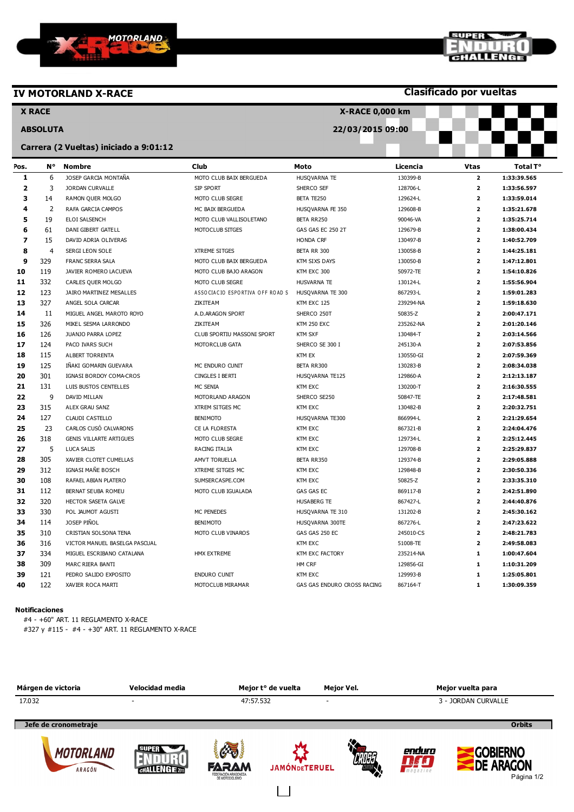

## **IV MOTORLAND X-RACE**

## **Clasificado por vueltas**

58  $\prod$ 

| <b>X RACE</b><br><b>ABSOLUTA</b> |                |                                        |                                 | <b>X-RACE 0,000 km</b>      |           |                         |             |  |  |
|----------------------------------|----------------|----------------------------------------|---------------------------------|-----------------------------|-----------|-------------------------|-------------|--|--|
|                                  |                |                                        | 22/03/2015 09:00                |                             |           |                         |             |  |  |
|                                  |                | Carrera (2 Vueltas) iniciado a 9:01:12 |                                 |                             |           |                         |             |  |  |
| Pos.                             | N۰             | Nombre                                 | Club                            | Moto                        | Licencia  | Vtas                    | Total T°    |  |  |
| 1                                | 6              | JOSEP GARCIA MONTAÑA                   | MOTO CLUB BAIX BERGUEDA         | HUSQVARNA TE                | 130399-B  | $\overline{2}$          | 1:33:39.565 |  |  |
| $\overline{\mathbf{2}}$          | 3              | <b>JORDAN CURVALLE</b>                 | <b>SIP SPORT</b>                | SHERCO SEF                  | 128706-L  | $\overline{\mathbf{2}}$ | 1:33:56.597 |  |  |
| 3                                | 14             | RAMON QUER MOLGO                       | MOTO CLUB SEGRE                 | BETA TE250                  | 129624-L  | $\overline{2}$          | 1:33:59.014 |  |  |
| 4                                | $\overline{2}$ | RAFA GARCIA CAMPOS                     | MC BAIX BERGUEDA                | HUSQVARNA FE 350            | 129608-B  | $\mathbf{2}$            | 1:35:21.678 |  |  |
| 5                                | 19             | ELOI SALSENCH                          | MOTO CLUB VALLISOLETANO         | BETA RR250                  | 90046-VA  | $\overline{\mathbf{2}}$ | 1:35:25.714 |  |  |
| 6                                | 61             | DANI GIBERT GATELL                     | MOTOCLUB SITGES                 | GAS GAS EC 250 2T           | 129679-B  | $\overline{\mathbf{2}}$ | 1:38:00.434 |  |  |
| $\overline{\mathbf{z}}$          | 15             | DAVID ADRIA OLIVERAS                   |                                 | <b>HONDA CRF</b>            | 130497-B  | $\overline{\mathbf{2}}$ | 1:40:52.709 |  |  |
| 8                                | $\overline{4}$ | SERGI LEON SOLE                        | <b>XTREME SITGES</b>            | BETA RR 300                 | 130058-B  | $\mathbf{2}$            | 1:44:25.181 |  |  |
| 9                                | 329            | <b>FRANC SERRA SALA</b>                | MOTO CLUB BAIX BERGUEDA         | <b>KTM SIXS DAYS</b>        | 130050-B  | $\overline{2}$          | 1:47:12.801 |  |  |
| 10                               | 119            | JAVIER ROMERO LACUEVA                  | MOTO CLUB BAJO ARAGON           | KTM EXC 300                 | 50972-TE  | $\overline{\mathbf{2}}$ | 1:54:10.826 |  |  |
| 11                               | 332            | CARLES QUER MOLGO                      | MOTO CLUB SEGRE                 | HUSVARNA TE                 | 130124-L  | $\overline{\mathbf{2}}$ | 1:55:56.904 |  |  |
| 12                               | 123            | JAIRO MARTINEZ MESALLES                | ASSOCIACIO ESPORTIVA OFF ROAD S | HUSQVARNA TE 300            | 867293-L  | $\overline{\mathbf{2}}$ | 1:59:01.283 |  |  |
| 13                               | 327            | ANGEL SOLA CARCAR                      | ZIKITEAM                        | KTM EXC 125                 | 239294-NA | $\overline{\mathbf{2}}$ | 1:59:18.630 |  |  |
| 14                               | 11             | MIGUEL ANGEL MAROTO ROYO               | A.D.ARAGON SPORT                | SHERCO 250T                 | 50835-Z   | $\overline{\mathbf{2}}$ | 2:00:47.171 |  |  |
| 15                               | 326            | MIKEL SESMA LARRONDO                   | ZIKITEAM                        | <b>KTM 250 EXC</b>          | 235262-NA | $\overline{\mathbf{2}}$ | 2:01:20.146 |  |  |
| 16                               | 126            | JUANJO PARRA LOPEZ                     | CLUB SPORTIU MASSONI SPORT      | <b>KTM SXF</b>              | 130484-T  | $\overline{2}$          | 2:03:14.566 |  |  |
| 17                               | 124            | PACO IVARS SUCH                        | MOTORCLUB GATA                  | SHERCO SE 300 I             | 245130-A  | $\mathbf{2}$            | 2:07:53.856 |  |  |
| 18                               | 115            | <b>ALBERT TORRENTA</b>                 |                                 | <b>KTM EX</b>               | 130550-GI | $\overline{\mathbf{2}}$ | 2:07:59.369 |  |  |
| 19                               | 125            | IÑAKI GOMARIN GUEVARA                  | MC ENDURO CUNIT                 | BETA RR300                  | 130283-B  | $\overline{\mathbf{2}}$ | 2:08:34.038 |  |  |
| 20                               | 301            | IGNASI BORDOY COMA-CROS                | <b>CINGLES I BERTI</b>          | HUSQVARNA TE125             | 129860-A  | $\overline{\mathbf{2}}$ | 2:12:13.187 |  |  |
| 21                               | 131            | LUIS BUSTOS CENTELLES                  | MC SENIA                        | <b>KTM EXC</b>              | 130200-T  | $\overline{\mathbf{2}}$ | 2:16:30.555 |  |  |
| 22                               | 9              | DAVID MILLAN                           | MOTORLAND ARAGON                | SHERCO SE250                | 50847-TE  | $\overline{\mathbf{2}}$ | 2:17:48.581 |  |  |
| 23                               | 315            | ALEX GRAU SANZ                         | <b>XTREM SITGES MC</b>          | <b>KTM EXC</b>              | 130482-B  | $\overline{\mathbf{2}}$ | 2:20:32.751 |  |  |
| 24                               | 127            | CLAUDI CASTELLO                        | <b>BENIMOTO</b>                 | HUSQVARNA TE300             | 866994-L  | $\overline{\mathbf{2}}$ | 2:21:29.654 |  |  |
| 25                               | 23             | CARLOS CUSÓ CALVARONS                  | CE LA FLORESTA                  | <b>KTM EXC</b>              | 867321-B  | $\overline{\mathbf{2}}$ | 2:24:04.476 |  |  |
| 26                               | 318            | <b>GENIS VILLARTE ARTIGUES</b>         | MOTO CLUB SEGRE                 | <b>KTM EXC</b>              | 129734-L  | $\overline{2}$          | 2:25:12.445 |  |  |
| 27                               | 5              | <b>LUCA SALIS</b>                      | <b>RACING ITALIA</b>            | <b>KTM EXC</b>              | 129708-B  | $\overline{\mathbf{2}}$ | 2:25:29.837 |  |  |
| 28                               | 305            | XAVIER CLOTET CUMELLAS                 | AMVT TORUELLA                   | BETA RR350                  | 129374-B  | $\overline{\mathbf{2}}$ | 2:29:05.888 |  |  |
| 29                               | 312            | IGNASI MAÑE BOSCH                      | <b>XTREME SITGES MC</b>         | <b>KTM EXC</b>              | 129848-B  | $\overline{2}$          | 2:30:50.336 |  |  |
| 30                               | 108            | RAFAEL ABIAN PLATERO                   | SUMSERCASPE.COM                 | <b>KTM EXC</b>              | 50825-Z   | $\overline{\mathbf{2}}$ | 2:33:35.310 |  |  |
| 31                               | 112            | BERNAT SEUBA ROMEU                     | MOTO CLUB IGUALADA              | <b>GAS GAS EC</b>           | 869117-B  | $\overline{2}$          | 2:42:51.890 |  |  |
| 32                               | 320            | HECTOR SASETA GALVE                    |                                 | <b>HUSABERG TE</b>          | 867427-L  | $\overline{\mathbf{2}}$ | 2:44:40.876 |  |  |
| 33                               | 330            | POL JAUMOT AGUSTI                      | <b>MC PENEDES</b>               | HUSQVARNA TE 310            | 131202-B  | $\overline{\mathbf{2}}$ | 2:45:30.162 |  |  |
| 34                               | 114            | JOSEP PIÑOL                            | <b>BENIMOTO</b>                 | HUSQVARNA 300TE             | 867276-L  | $\overline{\mathbf{2}}$ | 2:47:23.622 |  |  |
| 35                               | 310            | CRISTIAN SOLSONA TENA                  | MOTO CLUB VINAROS               | GAS GAS 250 EC              | 245010-CS | $\overline{2}$          | 2:48:21.783 |  |  |
| 36                               | 316            | VICTOR MANUEL BASELGA PASCUAL          |                                 | <b>KTM EXC</b>              | 51008-TE  | $\overline{\mathbf{2}}$ | 2:49:58.083 |  |  |
| 37                               | 334            | MIGUEL ESCRIBANO CATALANA              | HMX EXTREME                     | KTM EXC FACTORY             | 235214-NA | $\mathbf{1}$            | 1:00:47.604 |  |  |
| 38                               | 309            | MARC RIERA BANTI                       |                                 | HM CRF                      | 129856-GI | $\mathbf{1}$            | 1:10:31.209 |  |  |
| 39                               | 121            | PEDRO SALIDO EXPOSITO                  | <b>ENDURO CUNIT</b>             | <b>KTM EXC</b>              | 129993-B  | 1                       | 1:25:05.801 |  |  |
| 40                               | 122            | XAVIER ROCA MARTI                      | MOTOCLUB MIRAMAR                | GAS GAS ENDURO CROSS RACING | 867164-T  | $\mathbf{1}$            | 1:30:09.359 |  |  |

## **Notificaciones**

#4 - +60" ART. 11 REGLAMENTO X-RACE

ARAGÓN

#327 y #115 - #4 - +30" ART. 11 REGLAMENTO X-RACE



 $\mathbf{l}$ 

 $\mathcal{L}$ 

**FARAM**